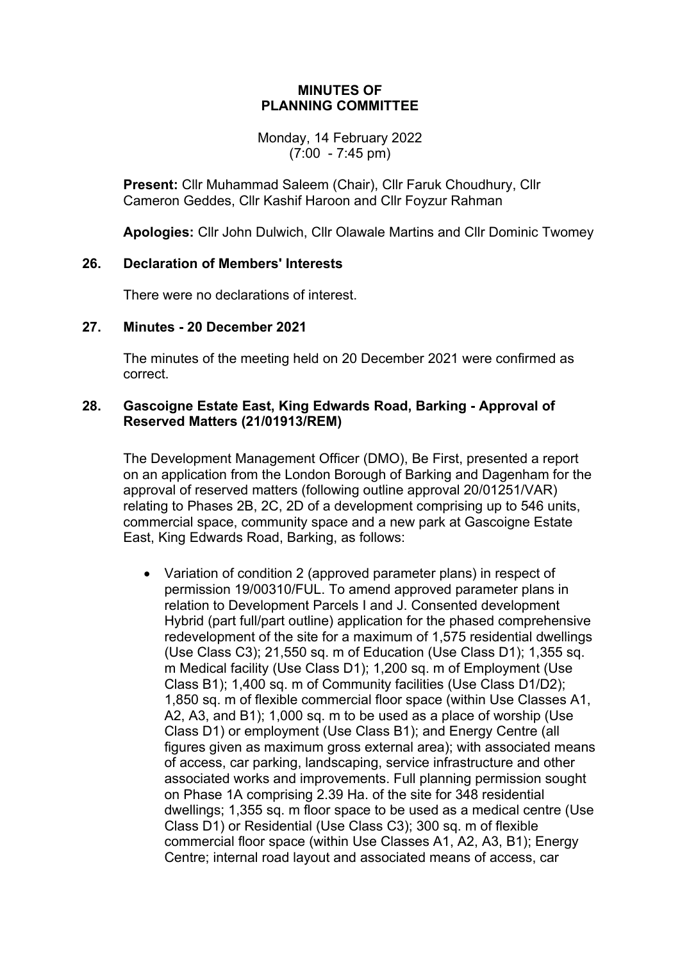#### **MINUTES OF PLANNING COMMITTEE**

Monday, 14 February 2022 (7:00 - 7:45 pm)

**Present:** Cllr Muhammad Saleem (Chair), Cllr Faruk Choudhury, Cllr Cameron Geddes, Cllr Kashif Haroon and Cllr Foyzur Rahman

**Apologies:** Cllr John Dulwich, Cllr Olawale Martins and Cllr Dominic Twomey

## **26. Declaration of Members' Interests**

There were no declarations of interest.

#### **27. Minutes - 20 December 2021**

The minutes of the meeting held on 20 December 2021 were confirmed as correct.

## **28. Gascoigne Estate East, King Edwards Road, Barking - Approval of Reserved Matters (21/01913/REM)**

The Development Management Officer (DMO), Be First, presented a report on an application from the London Borough of Barking and Dagenham for the approval of reserved matters (following outline approval 20/01251/VAR) relating to Phases 2B, 2C, 2D of a development comprising up to 546 units, commercial space, community space and a new park at Gascoigne Estate East, King Edwards Road, Barking, as follows:

 Variation of condition 2 (approved parameter plans) in respect of permission 19/00310/FUL. To amend approved parameter plans in relation to Development Parcels I and J. Consented development Hybrid (part full/part outline) application for the phased comprehensive redevelopment of the site for a maximum of 1,575 residential dwellings (Use Class C3); 21,550 sq. m of Education (Use Class D1); 1,355 sq. m Medical facility (Use Class D1); 1,200 sq. m of Employment (Use Class B1); 1,400 sq. m of Community facilities (Use Class D1/D2); 1,850 sq. m of flexible commercial floor space (within Use Classes A1, A2, A3, and B1); 1,000 sq. m to be used as a place of worship (Use Class D1) or employment (Use Class B1); and Energy Centre (all figures given as maximum gross external area); with associated means of access, car parking, landscaping, service infrastructure and other associated works and improvements. Full planning permission sought on Phase 1A comprising 2.39 Ha. of the site for 348 residential dwellings; 1,355 sq. m floor space to be used as a medical centre (Use Class D1) or Residential (Use Class C3); 300 sq. m of flexible commercial floor space (within Use Classes A1, A2, A3, B1); Energy Centre; internal road layout and associated means of access, car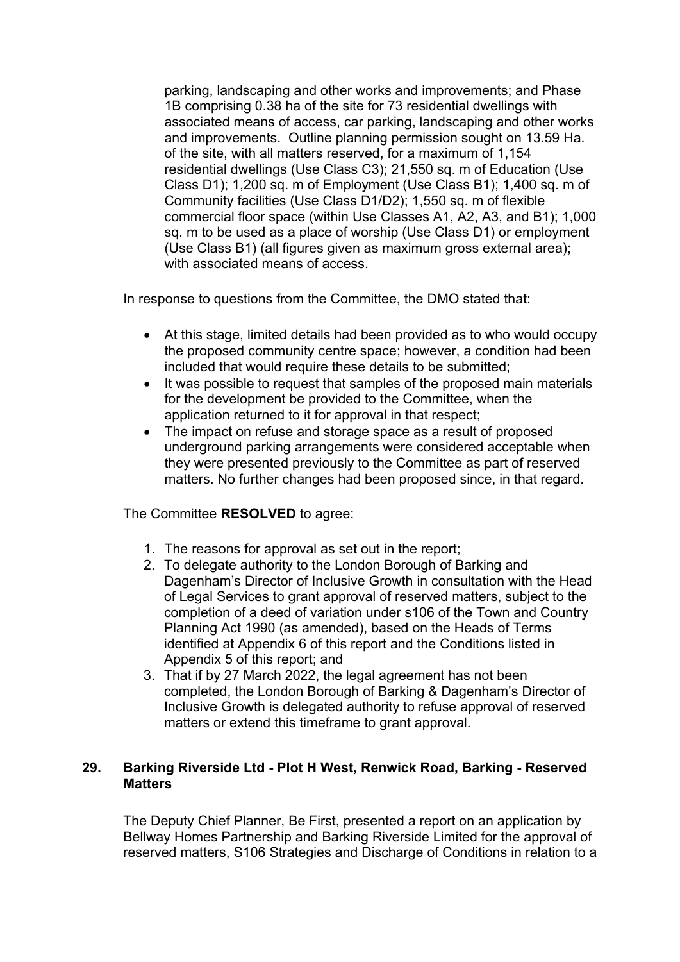parking, landscaping and other works and improvements; and Phase 1B comprising 0.38 ha of the site for 73 residential dwellings with associated means of access, car parking, landscaping and other works and improvements. Outline planning permission sought on 13.59 Ha. of the site, with all matters reserved, for a maximum of 1,154 residential dwellings (Use Class C3); 21,550 sq. m of Education (Use Class D1); 1,200 sq. m of Employment (Use Class B1); 1,400 sq. m of Community facilities (Use Class D1/D2); 1,550 sq. m of flexible commercial floor space (within Use Classes A1, A2, A3, and B1); 1,000 sq. m to be used as a place of worship (Use Class D1) or employment (Use Class B1) (all figures given as maximum gross external area); with associated means of access.

In response to questions from the Committee, the DMO stated that:

- At this stage, limited details had been provided as to who would occupy the proposed community centre space; however, a condition had been included that would require these details to be submitted;
- It was possible to request that samples of the proposed main materials for the development be provided to the Committee, when the application returned to it for approval in that respect;
- The impact on refuse and storage space as a result of proposed underground parking arrangements were considered acceptable when they were presented previously to the Committee as part of reserved matters. No further changes had been proposed since, in that regard.

## The Committee **RESOLVED** to agree:

- 1. The reasons for approval as set out in the report;
- 2. To delegate authority to the London Borough of Barking and Dagenham's Director of Inclusive Growth in consultation with the Head of Legal Services to grant approval of reserved matters, subject to the completion of a deed of variation under s106 of the Town and Country Planning Act 1990 (as amended), based on the Heads of Terms identified at Appendix 6 of this report and the Conditions listed in Appendix 5 of this report; and
- 3. That if by 27 March 2022, the legal agreement has not been completed, the London Borough of Barking & Dagenham's Director of Inclusive Growth is delegated authority to refuse approval of reserved matters or extend this timeframe to grant approval.

## **29. Barking Riverside Ltd - Plot H West, Renwick Road, Barking - Reserved Matters**

The Deputy Chief Planner, Be First, presented a report on an application by Bellway Homes Partnership and Barking Riverside Limited for the approval of reserved matters, S106 Strategies and Discharge of Conditions in relation to a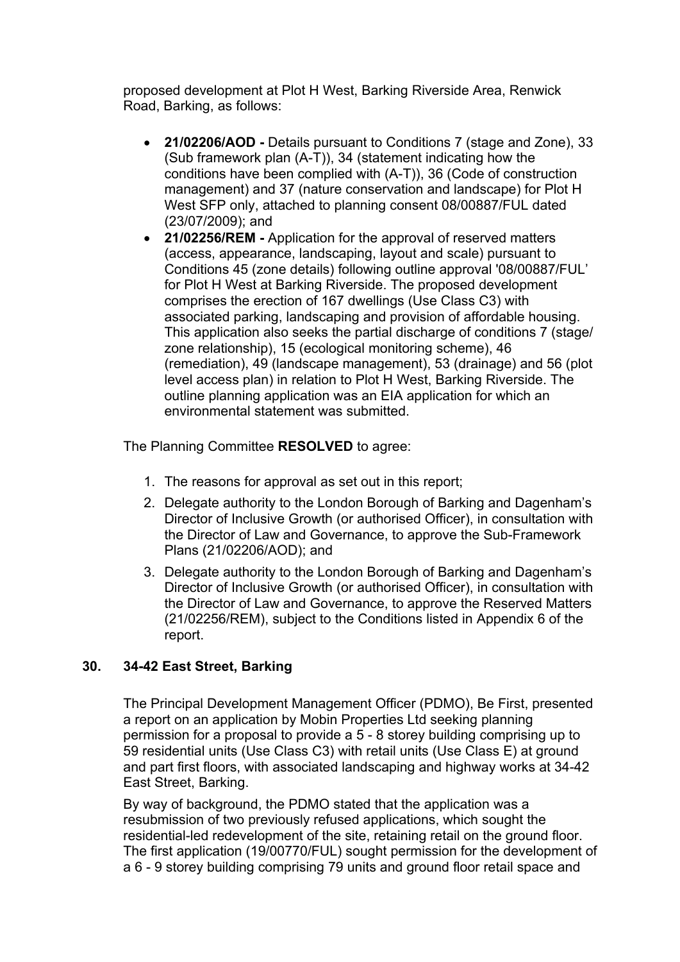proposed development at Plot H West, Barking Riverside Area, Renwick Road, Barking, as follows:

- **21/02206/AOD -** Details pursuant to Conditions 7 (stage and Zone), 33 (Sub framework plan (A-T)), 34 (statement indicating how the conditions have been complied with (A-T)), 36 (Code of construction management) and 37 (nature conservation and landscape) for Plot H West SFP only, attached to planning consent 08/00887/FUL dated (23/07/2009); and
- **21/02256/REM -** Application for the approval of reserved matters (access, appearance, landscaping, layout and scale) pursuant to Conditions 45 (zone details) following outline approval '08/00887/FUL' for Plot H West at Barking Riverside. The proposed development comprises the erection of 167 dwellings (Use Class C3) with associated parking, landscaping and provision of affordable housing. This application also seeks the partial discharge of conditions 7 (stage/ zone relationship), 15 (ecological monitoring scheme), 46 (remediation), 49 (landscape management), 53 (drainage) and 56 (plot level access plan) in relation to Plot H West, Barking Riverside. The outline planning application was an EIA application for which an environmental statement was submitted.

The Planning Committee **RESOLVED** to agree:

- 1. The reasons for approval as set out in this report;
- 2. Delegate authority to the London Borough of Barking and Dagenham's Director of Inclusive Growth (or authorised Officer), in consultation with the Director of Law and Governance, to approve the Sub-Framework Plans (21/02206/AOD); and
- 3. Delegate authority to the London Borough of Barking and Dagenham's Director of Inclusive Growth (or authorised Officer), in consultation with the Director of Law and Governance, to approve the Reserved Matters (21/02256/REM), subject to the Conditions listed in Appendix 6 of the report.

# **30. 34-42 East Street, Barking**

The Principal Development Management Officer (PDMO), Be First, presented a report on an application by Mobin Properties Ltd seeking planning permission for a proposal to provide a 5 - 8 storey building comprising up to 59 residential units (Use Class C3) with retail units (Use Class E) at ground and part first floors, with associated landscaping and highway works at 34-42 East Street, Barking.

By way of background, the PDMO stated that the application was a resubmission of two previously refused applications, which sought the residential-led redevelopment of the site, retaining retail on the ground floor. The first application (19/00770/FUL) sought permission for the development of a 6 - 9 storey building comprising 79 units and ground floor retail space and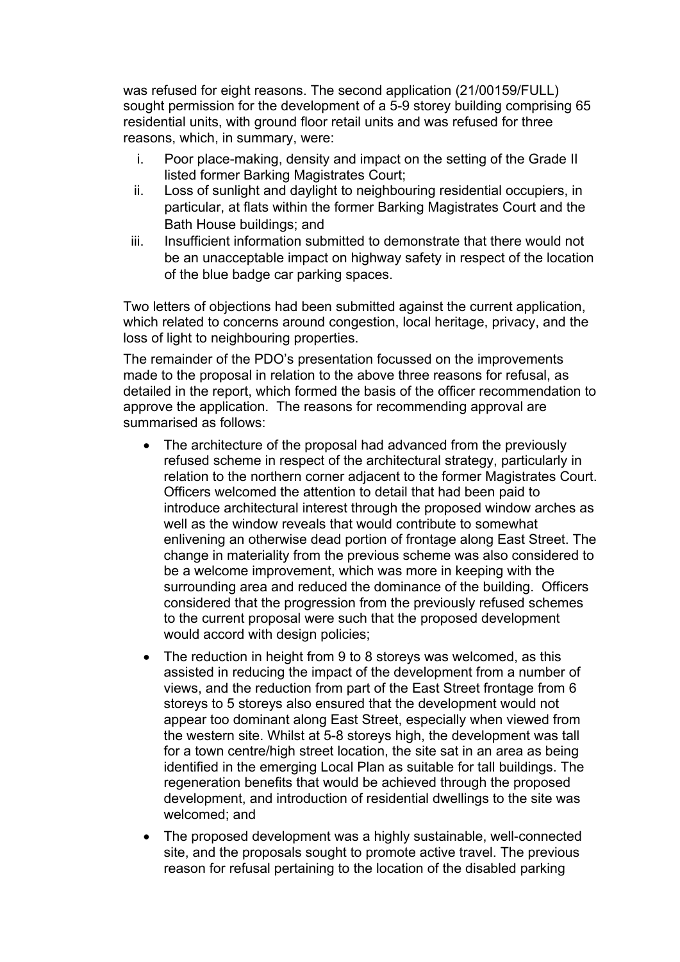was refused for eight reasons. The second application (21/00159/FULL) sought permission for the development of a 5-9 storey building comprising 65 residential units, with ground floor retail units and was refused for three reasons, which, in summary, were:

- i. Poor place-making, density and impact on the setting of the Grade II listed former Barking Magistrates Court;
- ii. Loss of sunlight and daylight to neighbouring residential occupiers, in particular, at flats within the former Barking Magistrates Court and the Bath House buildings; and
- iii. Insufficient information submitted to demonstrate that there would not be an unacceptable impact on highway safety in respect of the location of the blue badge car parking spaces.

Two letters of objections had been submitted against the current application, which related to concerns around congestion, local heritage, privacy, and the loss of light to neighbouring properties.

The remainder of the PDO's presentation focussed on the improvements made to the proposal in relation to the above three reasons for refusal, as detailed in the report, which formed the basis of the officer recommendation to approve the application. The reasons for recommending approval are summarised as follows:

- The architecture of the proposal had advanced from the previously refused scheme in respect of the architectural strategy, particularly in relation to the northern corner adjacent to the former Magistrates Court. Officers welcomed the attention to detail that had been paid to introduce architectural interest through the proposed window arches as well as the window reveals that would contribute to somewhat enlivening an otherwise dead portion of frontage along East Street. The change in materiality from the previous scheme was also considered to be a welcome improvement, which was more in keeping with the surrounding area and reduced the dominance of the building. Officers considered that the progression from the previously refused schemes to the current proposal were such that the proposed development would accord with design policies;
- The reduction in height from 9 to 8 storeys was welcomed, as this assisted in reducing the impact of the development from a number of views, and the reduction from part of the East Street frontage from 6 storeys to 5 storeys also ensured that the development would not appear too dominant along East Street, especially when viewed from the western site. Whilst at 5-8 storeys high, the development was tall for a town centre/high street location, the site sat in an area as being identified in the emerging Local Plan as suitable for tall buildings. The regeneration benefits that would be achieved through the proposed development, and introduction of residential dwellings to the site was welcomed; and
- The proposed development was a highly sustainable, well-connected site, and the proposals sought to promote active travel. The previous reason for refusal pertaining to the location of the disabled parking